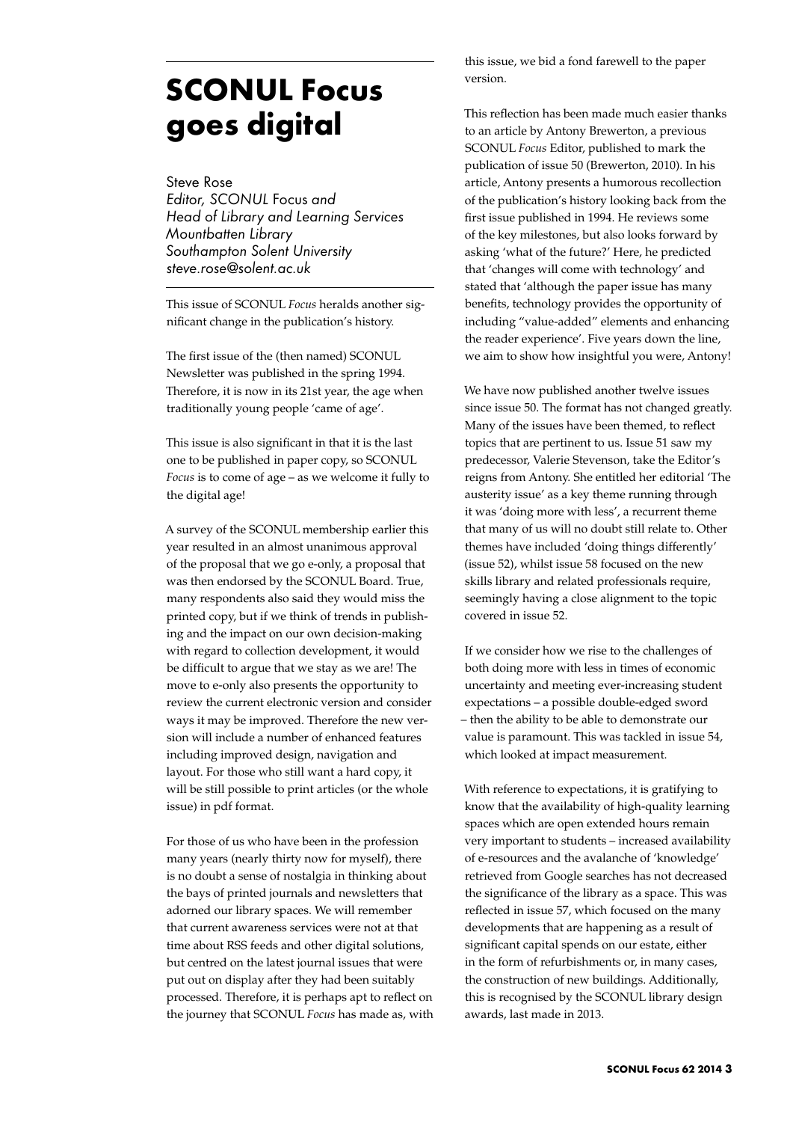## **SCONUL Focus goes digital**

Steve Rose

*Editor, SCONUL* Focus *and Head of Library and Learning Services Mountbatten Library Southampton Solent University steve.rose@solent.ac.uk*

This issue of SCONUL *Focus* heralds another significant change in the publication's history.

The first issue of the (then named) SCONUL Newsletter was published in the spring 1994. Therefore, it is now in its 21st year, the age when traditionally young people 'came of age'.

This issue is also significant in that it is the last one to be published in paper copy, so SCONUL *Focus* is to come of age – as we welcome it fully to the digital age!

A survey of the SCONUL membership earlier this year resulted in an almost unanimous approval of the proposal that we go e-only, a proposal that was then endorsed by the SCONUL Board. True, many respondents also said they would miss the printed copy, but if we think of trends in publishing and the impact on our own decision-making with regard to collection development, it would be difficult to argue that we stay as we are! The move to e-only also presents the opportunity to review the current electronic version and consider ways it may be improved. Therefore the new version will include a number of enhanced features including improved design, navigation and layout. For those who still want a hard copy, it will be still possible to print articles (or the whole issue) in pdf format.

For those of us who have been in the profession many years (nearly thirty now for myself), there is no doubt a sense of nostalgia in thinking about the bays of printed journals and newsletters that adorned our library spaces. We will remember that current awareness services were not at that time about RSS feeds and other digital solutions, but centred on the latest journal issues that were put out on display after they had been suitably processed. Therefore, it is perhaps apt to reflect on the journey that SCONUL *Focus* has made as, with this issue, we bid a fond farewell to the paper version.

This reflection has been made much easier thanks to an article by Antony Brewerton, a previous SCONUL *Focus* Editor, published to mark the publication of issue 50 (Brewerton, 2010). In his article, Antony presents a humorous recollection of the publication's history looking back from the first issue published in 1994. He reviews some of the key milestones, but also looks forward by asking 'what of the future?' Here, he predicted that 'changes will come with technology' and stated that 'although the paper issue has many benefits, technology provides the opportunity of including "value-added" elements and enhancing the reader experience'. Five years down the line, we aim to show how insightful you were, Antony!

We have now published another twelve issues since issue 50. The format has not changed greatly. Many of the issues have been themed, to reflect topics that are pertinent to us. Issue 51 saw my predecessor, Valerie Stevenson, take the Editor's reigns from Antony. She entitled her editorial 'The austerity issue' as a key theme running through it was 'doing more with less', a recurrent theme that many of us will no doubt still relate to. Other themes have included 'doing things differently' (issue 52), whilst issue 58 focused on the new skills library and related professionals require, seemingly having a close alignment to the topic covered in issue 52.

If we consider how we rise to the challenges of both doing more with less in times of economic uncertainty and meeting ever-increasing student expectations – a possible double-edged sword – then the ability to be able to demonstrate our value is paramount. This was tackled in issue 54, which looked at impact measurement.

With reference to expectations, it is gratifying to know that the availability of high-quality learning spaces which are open extended hours remain very important to students – increased availability of e-resources and the avalanche of 'knowledge' retrieved from Google searches has not decreased the significance of the library as a space. This was reflected in issue 57, which focused on the many developments that are happening as a result of significant capital spends on our estate, either in the form of refurbishments or, in many cases, the construction of new buildings. Additionally, this is recognised by the SCONUL library design awards, last made in 2013.